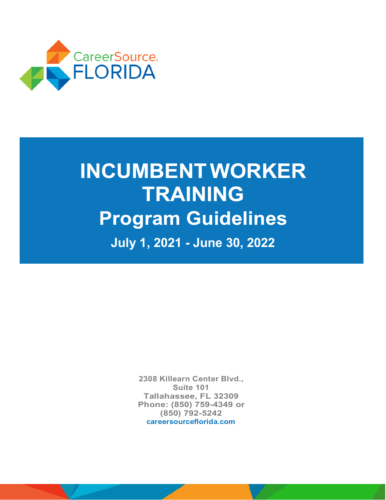

# **INCUMBENT WORKER TRAINING Program Guidelines July 1, 2021 - June 30, 2022**

**2308 Killearn Center Blvd., Suite 101 Tallahassee, FL 32309 Phone: (850) 759-4349 or (850) 792-5242 [careersourceflorida.com](https://careersourceflorida.com/)**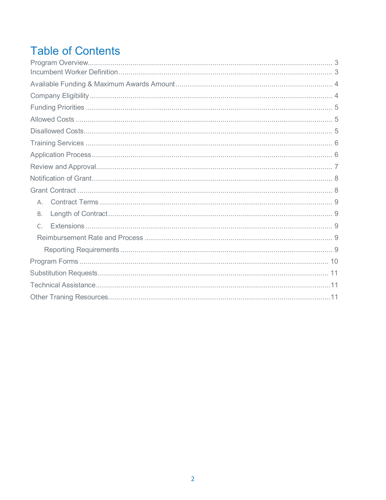## **Table of Contents**

| Α.        |  |
|-----------|--|
| <b>B.</b> |  |
| $\subset$ |  |
|           |  |
|           |  |
|           |  |
|           |  |
|           |  |
|           |  |
|           |  |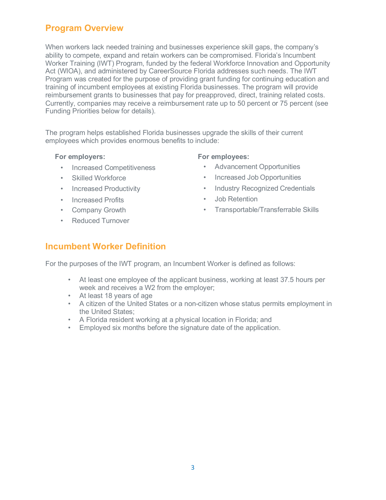## <span id="page-2-0"></span>**Program Overview**

When workers lack needed training and businesses experience skill gaps, the company's ability to compete, expand and retain workers can be compromised. Florida's Incumbent Worker Training (IWT) Program, funded by the federal Workforce Innovation and Opportunity Act (WIOA), and administered by CareerSource Florida addresses such needs. The IWT Program was created for the purpose of providing grant funding for continuing education and training of incumbent employees at existing Florida businesses. The program will provide reimbursement grants to businesses that pay for preapproved, direct, training related costs. Currently, companies may receive a reimbursement rate up to 50 percent or 75 percent (see Funding Priorities below for details).

The program helps established Florida businesses upgrade the skills of their current employees which provides enormous benefits to include:

#### **For employers:**

- Increased Competitiveness
- Skilled Workforce
- Increased Productivity
- Increased Profits
- Company Growth
- Reduced Turnover

#### **For employees:**

- Advancement Opportunities
- Increased Job Opportunities
- Industry Recognized Credentials
- Job Retention
- Transportable/Transferrable Skills

## **Incumbent Worker Definition**

For the purposes of the IWT program, an Incumbent Worker is defined as follows:

- At least one employee of the applicant business, working at least 37.5 hours per week and receives a W2 from the employer;
- At least 18 years of age
- A citizen of the United States or a non-citizen whose status permits employment in the United States;
- A Florida resident working at a physical location in Florida; and
- Employed six months before the signature date of the application.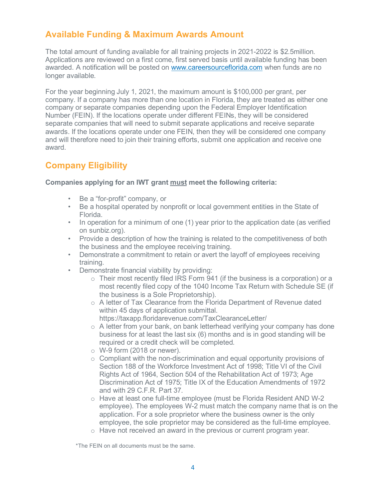## <span id="page-3-1"></span>**Available Funding & Maximum Awards Amount**

The total amount of funding available for all training projects in 2021-2022 is \$2.5million. Applications are reviewed on a first come, first served basis until available funding has been awarded. A notification will be posted on [www.careersourceflorida.com](http://www.careersourceflorida.com/) when funds are no longer available.

For the year beginning July 1, 2021, the maximum amount is \$100,000 per grant, per company. If a company has more than one location in Florida, they are treated as either one company or separate companies depending upon the Federal Employer Identification Number (FEIN). If the locations operate under different FEINs, they will be considered separate companies that will need to submit separate applications and receive separate awards. If the locations operate under one FEIN, then they will be considered one company and will therefore need to join their training efforts, submit one application and receive one award.

## <span id="page-3-3"></span><span id="page-3-2"></span><span id="page-3-0"></span>**Company Eligibility**

#### **Companies applying for an IWT grant must meet the following criteria:**

- Be a "for-profit" company, or
- Be a hospital operated by nonprofit or local government entities in the State of Florida.
- In operation for a minimum of one (1) year prior to the application date (as verified on sunbiz.org).
- Provide a description of how the training is related to the competitiveness of both the business and the employee receiving training.
- Demonstrate a commitment to retain or avert the layoff of employees receiving training.
- Demonstrate financial viability by providing:
	- $\circ$  Their most recently filed IRS Form 941 (if the business is a corporation) or a most recently filed copy of the 1040 Income Tax Return with Schedule SE (if the business is a Sole Proprietorship).
	- o A letter of Tax Clearance from the Florida Department of Revenue dated within 45 days of application submittal. <https://taxapp.floridarevenue.com/TaxClearanceLetter/>
	- o A letter from your bank, on bank letterhead verifying your company has done business for at least the last six (6) months and is in good standing will be required or a credit check will be completed.
	- $\circ$  W-9 form (2018 or newer).
	- $\circ$  Compliant with the non-discrimination and equal opportunity provisions of Section 188 of the Workforce Investment Act of 1998; Title VI of the Civil Rights Act of 1964, Section 504 of the Rehabilitation Act of 1973; Age Discrimination Act of 1975; Title IX of the Education Amendments of 1972 and with 29 C.F.R. Part 37.
	- o Have at least one full-time employee (must be Florida Resident AND W-2 employee). The employees W-2 must match the company name that is on the application. For a sole proprietor where the business owner is the only employee, the sole proprietor may be considered as the full-time employee.
	- o Have not received an award in the previous or current program year.

\*The FEIN on all documents must be the same.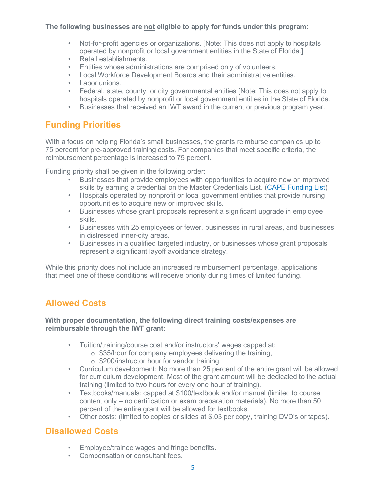#### **The following businesses are not eligible to apply for funds under this program:**

- Not-for-profit agencies or organizations. [Note: This does not apply to hospitals operated by nonprofit or local government entities in the State of Florida.]
- Retail establishments.
- Entities whose administrations are comprised only of volunteers.
- Local Workforce Development Boards and their administrative entities.
- Labor unions.
- Federal, state, county, or city governmental entities [Note: This does not apply to hospitals operated by nonprofit or local government entities in the State of Florida.
- Businesses that received an IWT award in the current or previous program year.

## **Funding Priorities**

With a focus on helping Florida's small businesses, the grants reimburse companies up to 75 percent for pre-approved training costs. For companies that meet specific criteria, the reimbursement percentage is increased to 75 percent.

Funding priority shall be given in the following order:

- Businesses that provide employees with opportunities to acquire new or improved skills by earning a credential on the Master Credentials List. [\(CAPE Funding List\)](http://www.fldoe.org/academics/career-adult-edu/cape-postsecondary/cape-post-industry-cert-funding-list-current.stml)
- Hospitals operated by nonprofit or local government entities that provide nursing opportunities to acquire new or improved skills.
- Businesses whose grant proposals represent a significant upgrade in employee skills.
- Businesses with 25 employees or fewer, businesses in rural areas, and businesses in distressed inner-city areas.
- Businesses in a qualified targeted industry, or businesses whose grant proposals represent a significant layoff avoidance strategy.

While this priority does not include an increased reimbursement percentage, applications that meet one of these conditions will receive priority during times of limited funding.

## **Allowed Costs**

#### **With proper documentation, the following direct training costs/expenses are reimbursable through the IWT grant:**

- Tuition/training/course cost and/or instructors' wages capped at:
	- $\circ$  \$35/hour for company employees delivering the training,
	- o \$200/instructor hour for vendor training.
- Curriculum development: No more than 25 percent of the entire grant will be allowed for curriculum development. Most of the grant amount will be dedicated to the actual training (limited to two hours for every one hour of training).
- Textbooks/manuals: capped at \$100/textbook and/or manual (limited to course content only – no certification or exam preparation materials). No more than 50 percent of the entire grant will be allowed for textbooks.
- Other costs: (limited to copies or slides at \$.03 per copy, training DVD's or tapes).

## **Disallowed Costs**

- Employee/trainee wages and fringe benefits.
- Compensation or consultant fees.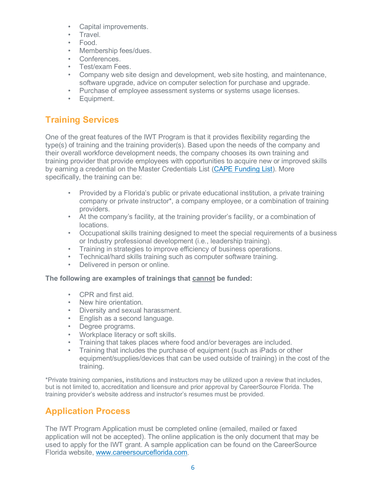- Capital improvements.
- Travel.
- Food.
- Membership fees/dues.
- Conferences.
- Test/exam Fees.
- Company web site design and development, web site hosting, and maintenance, software upgrade, advice on computer selection for purchase and upgrade.
- Purchase of employee assessment systems or systems usage licenses.
- Equipment.

## <span id="page-5-1"></span>**Training Services**

One of the great features of the IWT Program is that it provides flexibility regarding the type(s) of training and the training provider(s). Based upon the needs of the company and their overall workforce development needs, the company chooses its own training and training provider that provide employees with opportunities to acquire new or improved skills by earning a credential on the Master Credentials List [\(CAPE Funding List\)](http://www.fldoe.org/academics/career-adult-edu/cape-postsecondary/cape-post-industry-cert-funding-list-current.stml). More specifically, the training can be:

- Provided by a Florida's public or private educational institution, a private training company or private instructor\*, a company employee, or a combination of training providers.
- At the company's facility, at the training provider's facility, or a combination of locations.
- Occupational skills training designed to meet the special requirements of a business or Industry professional development (i.e., leadership training).
- Training in strategies to improve efficiency of business operations.
- Technical/hard skills training such as computer software training.
- Delivered in person or online.

#### **The following are examples of trainings that cannot be funded:**

- CPR and first aid.
- New hire orientation.
- Diversity and sexual harassment.
- English as a second language.
- Degree programs.
- Workplace literacy or soft skills.
- Training that takes places where food and/or beverages are included.
- Training that includes the purchase of equipment (such as iPads or other equipment/supplies/devices that can be used outside of training) in the cost of the training.

\*Private training companies, institutions and instructors may be utilized upon a review that includes, but is not limited to, accreditation and licensure and prior approval by CareerSource Florida. The training provider's website address and instructor's resumes must be provided.

## <span id="page-5-0"></span>**Application Process**

The IWT Program Application must be completed online (emailed, mailed or faxed application will not be accepted). The online application is the only document that may be used to apply for the IWT grant. A sample application can be found on the CareerSource Florida website, [www.careersourceflorida.com.](http://www.careersourceflorida.com/)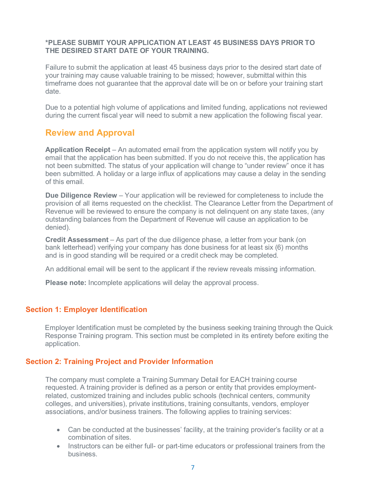#### **\*PLEASE SUBMIT YOUR APPLICATION AT LEAST 45 BUSINESS DAYS PRIOR TO THE DESIRED START DATE OF YOUR TRAINING.**

Failure to submit the application at least 45 business days prior to the desired start date of your training may cause valuable training to be missed; however, submittal within this timeframe does not guarantee that the approval date will be on or before your training start date.

Due to a potential high volume of applications and limited funding, applications not reviewed during the current fiscal year will need to submit a new application the following fiscal year.

## **Review and Approval**

**Application Receipt** – An automated email from the application system will notify you by email that the application has been submitted. If you do not receive this, the application has not been submitted. The status of your application will change to "under review" once it has been submitted. A holiday or a large influx of applications may cause a delay in the sending of this email.

**Due Diligence Review** – Your application will be reviewed for completeness to include the provision of all items requested on the checklist. The Clearance Letter from the Department of Revenue will be reviewed to ensure the company is not delinquent on any state taxes, (any outstanding balances from the Department of Revenue will cause an application to be denied).

**Credit Assessment** – As part of the due diligence phase, a letter from your bank (on bank letterhead) verifying your company has done business for at least six (6) months and is in good standing will be required or a credit check may be completed.

An additional email will be sent to the applicant if the review reveals missing information.

**Please note:** Incomplete applications will delay the approval process.

#### **Section 1: Employer Identification**

Employer Identification must be completed by the business seeking training through the Quick Response Training program. This section must be completed in its entirety before exiting the application.

#### **Section 2: Training Project and Provider Information**

The company must complete a Training Summary Detail for EACH training course requested. A training provider is defined as a person or entity that provides employmentrelated, customized training and includes public schools (technical centers, community colleges, and universities), private institutions, training consultants, vendors, employer associations, and/or business trainers. The following applies to training services:

- Can be conducted at the businesses' facility, at the training provider's facility or at a combination of sites.
- Instructors can be either full- or part-time educators or professional trainers from the business.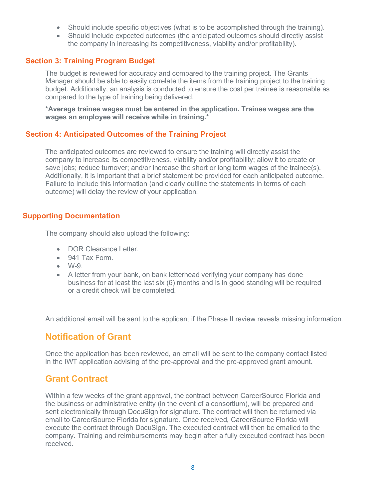- Should include specific objectives (what is to be accomplished through the training).
- Should include expected outcomes (the anticipated outcomes should directly assist the company in increasing its competitiveness, viability and/or profitability).

#### **Section 3: Training Program Budget**

The budget is reviewed for accuracy and compared to the training project. The Grants Manager should be able to easily correlate the items from the training project to the training budget. Additionally, an analysis is conducted to ensure the cost per trainee is reasonable as compared to the type of training being delivered.

**\*Average trainee wages must be entered in the application. Trainee wages are the wages an employee will receive while in training.\***

#### **Section 4: Anticipated Outcomes of the Training Project**

The anticipated outcomes are reviewed to ensure the training will directly assist the company to increase its competitiveness, viability and/or profitability; allow it to create or save jobs; reduce turnover; and/or increase the short or long term wages of the trainee(s). Additionally, it is important that a brief statement be provided for each anticipated outcome. Failure to include this information (and clearly outline the statements in terms of each outcome) will delay the review of your application.

#### **Supporting Documentation**

The company should also upload the following:

- DOR Clearance Letter.
- 941 Tax Form.
- $\bullet$  W-9.
- A letter from your bank, on bank letterhead verifying your company has done business for at least the last six (6) months and is in good standing will be required or a credit check will be completed.

<span id="page-7-0"></span>An additional email will be sent to the applicant if the Phase II review reveals missing information.

## **Notification of Grant**

Once the application has been reviewed, an email will be sent to the company contact listed in the IWT application advising of the pre-approval and the pre-approved grant amount.

## <span id="page-7-1"></span>**Grant Contract**

Within a few weeks of the grant approval, the contract between CareerSource Florida and the business or administrative entity (in the event of a consortium), will be prepared and sent electronically through DocuSign for signature. The contract will then be returned via email to CareerSource Florida for signature. Once received, CareerSource Florida will execute the contract through DocuSign. The executed contract will then be emailed to the company. Training and reimbursements may begin after a fully executed contract has been received.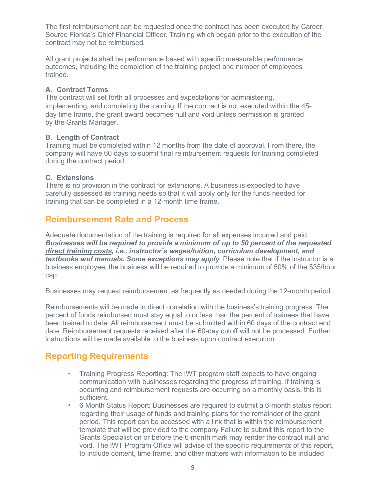The first reimbursement can be requested once the contract has been executed by Career Source Florida's Chief Financial Officer. Training which began prior to the execution of the contract may not be reimbursed.

All grant projects shall be performance based with specific measurable performance outcomes, including the completion of the training project and number of employees trained.

#### <span id="page-8-0"></span>**A. Contract Terms**

The contract will set forth all processes and expectations for administering, implementing, and completing the training. If the contract is not executed within the 45 day time frame, the grant award becomes null and void unless permission is granted by the Grants Manager.

#### <span id="page-8-1"></span>**B. Length of Contract**

Training must be completed within 12 months from the date of approval. From there, the company will have 60 days to submit final reimbursement requests for training completed during the contract period.

#### <span id="page-8-2"></span>**C. Extensions**

There is no provision in the contract for extensions. A business is expected to have carefully assessed its training needs so that it will apply only for the funds needed for training that can be completed in a 12-month time frame.

## **Reimbursement Rate and Process**

<span id="page-8-3"></span>Adequate documentation of the training is required for all expenses incurred and paid. *Businesses will be required to provide a minimum of up to 50 percent of the requested direct training costs, i.e., instructor's wages/tuition, curriculum development, and textbooks and manuals. Some exceptions may apply*. Please note that if the instructor is a business employee, the business will be required to provide a minimum of 50% of the \$35/hour cap.

Businesses may request reimbursement as frequently as needed during the 12-month period.

Reimbursements will be made in direct correlation with the business's training progress. The percent of funds reimbursed must stay equal to or less than the percent of trainees that have been trained to date. All reimbursement must be submitted within 60 days of the contract end date. Reimbursement requests received after the 60-day cutoff will not be processed. Further instructions will be made available to the business upon contract execution.

## **Reporting Requirements**

- Training Progress Reporting: The IWT program staff expects to have ongoing communication with businesses regarding the progress of training. If training is occurring and reimbursement requests are occurring on a monthly basis, this is sufficient.
- 6 Month Status Report: Businesses are required to submit a 6-month status report regarding their usage of funds and training plans for the remainder of the grant period. This report can be accessed with a link that is within the reimbursement template that will be provided to the company Failure to submit this report to the Grants Specialist on or before the 6-month mark may render the contract null and void. The IWT Program Office will advise of the specific requirements of this report, to include content, time frame, and other matters with information to be included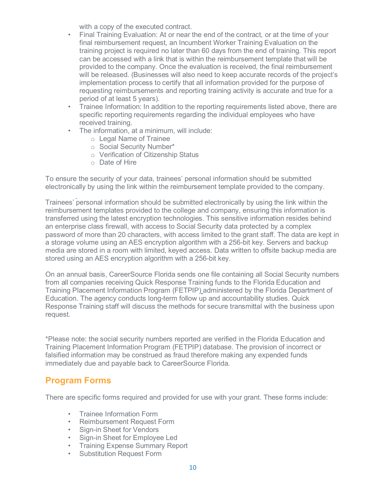with a copy of the executed contract.

- Final Training Evaluation: At or near the end of the contract, or at the time of your final reimbursement request, an Incumbent Worker Training Evaluation on the training project is required no later than 60 days from the end of training. This report can be accessed with a link that is within the reimbursement template that will be provided to the company. Once the evaluation is received, the final reimbursement will be released. (Businesses will also need to keep accurate records of the project's implementation process to certify that all information provided for the purpose of requesting reimbursements and reporting training activity is accurate and true for a period of at least 5 years).
- Trainee Information: In addition to the reporting requirements listed above, there are specific reporting requirements regarding the individual employees who have received training.
- The information, at a minimum, will include:
	- o Legal Name of Trainee
	- o Social Security Number\*
	- o Verification of Citizenship Status
	- o Date of Hire

To ensure the security of your data, trainees' personal information should be submitted electronically by using the link within the reimbursement template provided to the company.

Trainees' personal information should be submitted electronically by using the link within the reimbursement templates provided to the college and company, ensuring this information is transferred using the latest encryption technologies. This sensitive information resides behind an enterprise class firewall, with access to Social Security data protected by a complex password of more than 20 characters, with access limited to the grant staff. The data are kept in a storage volume using an AES encryption algorithm with a 256-bit key. Servers and backup media are stored in a room with limited, keyed access. Data written to offsite backup media are stored using an AES encryption algorithm with a 256-bit key.

On an annual basis, CareerSource Florida sends one file containing all Social Security numbers from all companies receiving Quick Response Training funds to the Florida Education and Training Placement Information Program (FETPIP) administered by the Florida Department of Education. The agency conducts long-term follow up and accountability studies. Quick Response Training staff will discuss the methods for secure transmittal with the business upon request.

\*Please note: the social security numbers reported are verified in the Florida Education and Training Placement Information Program (FETPIP) database. The provision of incorrect or falsified information may be construed as fraud therefore making any expended funds immediately due and payable back to CareerSource Florida.

## <span id="page-9-0"></span>**Program Forms**

There are specific forms required and provided for use with your grant. These forms include:

- Trainee Information Form
- Reimbursement Request Form
- Sign-in Sheet for Vendors
- Sign-in Sheet for Employee Led
- Training Expense Summary Report
- Substitution Request Form